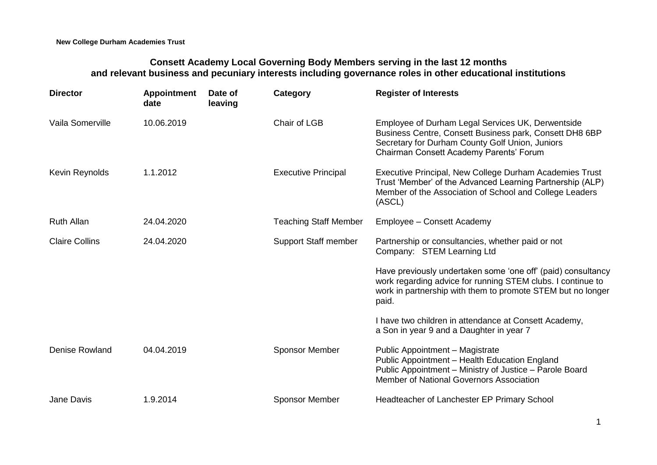## **Consett Academy Local Governing Body Members serving in the last 12 months and relevant business and pecuniary interests including governance roles in other educational institutions**

| <b>Director</b>       | <b>Appointment</b><br>date | Date of<br>leaving | Category                     | <b>Register of Interests</b>                                                                                                                                                                               |
|-----------------------|----------------------------|--------------------|------------------------------|------------------------------------------------------------------------------------------------------------------------------------------------------------------------------------------------------------|
| Vaila Somerville      | 10.06.2019                 |                    | Chair of LGB                 | Employee of Durham Legal Services UK, Derwentside<br>Business Centre, Consett Business park, Consett DH8 6BP<br>Secretary for Durham County Golf Union, Juniors<br>Chairman Consett Academy Parents' Forum |
| Kevin Reynolds        | 1.1.2012                   |                    | <b>Executive Principal</b>   | Executive Principal, New College Durham Academies Trust<br>Trust 'Member' of the Advanced Learning Partnership (ALP)<br>Member of the Association of School and College Leaders<br>(ASCL)                  |
| <b>Ruth Allan</b>     | 24.04.2020                 |                    | <b>Teaching Staff Member</b> | Employee - Consett Academy                                                                                                                                                                                 |
| <b>Claire Collins</b> | 24.04.2020                 |                    | <b>Support Staff member</b>  | Partnership or consultancies, whether paid or not<br>Company: STEM Learning Ltd                                                                                                                            |
|                       |                            |                    |                              | Have previously undertaken some 'one off' (paid) consultancy<br>work regarding advice for running STEM clubs. I continue to<br>work in partnership with them to promote STEM but no longer<br>paid.        |
|                       |                            |                    |                              | I have two children in attendance at Consett Academy,<br>a Son in year 9 and a Daughter in year 7                                                                                                          |
| Denise Rowland        | 04.04.2019                 |                    | <b>Sponsor Member</b>        | Public Appointment - Magistrate<br>Public Appointment - Health Education England<br>Public Appointment - Ministry of Justice - Parole Board<br>Member of National Governors Association                    |
| Jane Davis            | 1.9.2014                   |                    | <b>Sponsor Member</b>        | Headteacher of Lanchester EP Primary School                                                                                                                                                                |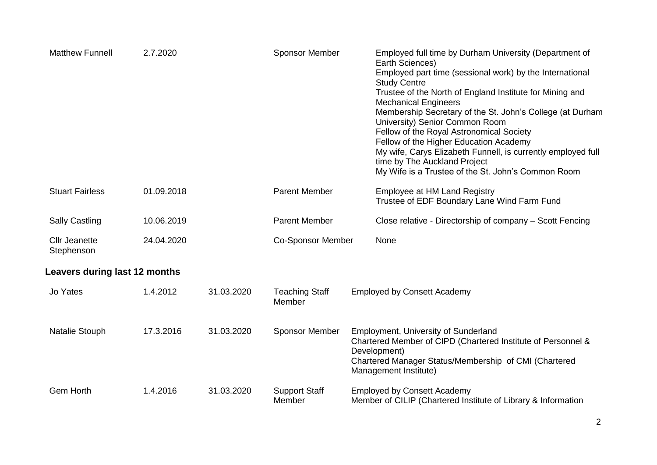| <b>Matthew Funnell</b>               | 2.7.2020   |            | <b>Sponsor Member</b>           |  | Employed full time by Durham University (Department of<br>Earth Sciences)<br>Employed part time (sessional work) by the International<br><b>Study Centre</b><br>Trustee of the North of England Institute for Mining and<br><b>Mechanical Engineers</b><br>Membership Secretary of the St. John's College (at Durham<br>University) Senior Common Room<br>Fellow of the Royal Astronomical Society<br>Fellow of the Higher Education Academy<br>My wife, Carys Elizabeth Funnell, is currently employed full<br>time by The Auckland Project<br>My Wife is a Trustee of the St. John's Common Room |  |  |
|--------------------------------------|------------|------------|---------------------------------|--|----------------------------------------------------------------------------------------------------------------------------------------------------------------------------------------------------------------------------------------------------------------------------------------------------------------------------------------------------------------------------------------------------------------------------------------------------------------------------------------------------------------------------------------------------------------------------------------------------|--|--|
| <b>Stuart Fairless</b>               | 01.09.2018 |            | <b>Parent Member</b>            |  | <b>Employee at HM Land Registry</b><br>Trustee of EDF Boundary Lane Wind Farm Fund                                                                                                                                                                                                                                                                                                                                                                                                                                                                                                                 |  |  |
| <b>Sally Castling</b>                | 10.06.2019 |            | <b>Parent Member</b>            |  | Close relative - Directorship of company - Scott Fencing                                                                                                                                                                                                                                                                                                                                                                                                                                                                                                                                           |  |  |
| <b>Cllr Jeanette</b><br>Stephenson   | 24.04.2020 |            | <b>Co-Sponsor Member</b>        |  | None                                                                                                                                                                                                                                                                                                                                                                                                                                                                                                                                                                                               |  |  |
| <b>Leavers during last 12 months</b> |            |            |                                 |  |                                                                                                                                                                                                                                                                                                                                                                                                                                                                                                                                                                                                    |  |  |
| Jo Yates                             | 1.4.2012   | 31.03.2020 | <b>Teaching Staff</b><br>Member |  | <b>Employed by Consett Academy</b>                                                                                                                                                                                                                                                                                                                                                                                                                                                                                                                                                                 |  |  |
| Natalie Stouph                       | 17.3.2016  | 31.03.2020 | <b>Sponsor Member</b>           |  | Employment, University of Sunderland<br>Chartered Member of CIPD (Chartered Institute of Personnel &<br>Development)<br>Chartered Manager Status/Membership of CMI (Chartered<br>Management Institute)                                                                                                                                                                                                                                                                                                                                                                                             |  |  |
| Gem Horth                            | 1.4.2016   | 31.03.2020 | <b>Support Staff</b><br>Member  |  | <b>Employed by Consett Academy</b><br>Member of CILIP (Chartered Institute of Library & Information                                                                                                                                                                                                                                                                                                                                                                                                                                                                                                |  |  |